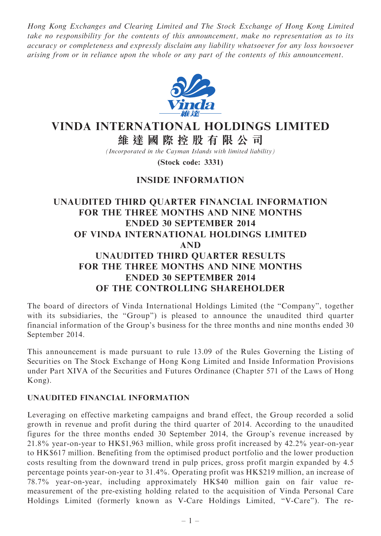Hong Kong Exchanges and Clearing Limited and The Stock Exchange of Hong Kong Limited take no responsibility for the contents of this announcement, make no representation as to its accuracy or completeness and expressly disclaim any liability whatsoever for any loss howsoever arising from or in reliance upon the whole or any part of the contents of this announcement.



# VINDA INTERNATIONAL HOLDINGS LIMITED

維 達 國 際 控 股 有 限 公 司

(Incorporated in the Cayman Islands with limited liability)

(Stock code: 3331)

## INSIDE INFORMATION

## UNAUDITED THIRD QUARTER FINANCIAL INFORMATION FOR THE THREE MONTHS AND NINE MONTHS ENDED 30 SEPTEMBER 2014 OF VINDA INTERNATIONAL HOLDINGS LIMITED AND UNAUDITED THIRD QUARTER RESULTS FOR THE THREE MONTHS AND NINE MONTHS ENDED 30 SEPTEMBER 2014 OF THE CONTROLLING SHAREHOLDER

The board of directors of Vinda International Holdings Limited (the ''Company'', together with its subsidiaries, the "Group") is pleased to announce the unaudited third quarter financial information of the Group's business for the three months and nine months ended 30 September 2014.

This announcement is made pursuant to rule 13.09 of the Rules Governing the Listing of Securities on The Stock Exchange of Hong Kong Limited and Inside Information Provisions under Part XIVA of the Securities and Futures Ordinance (Chapter 571 of the Laws of Hong Kong).

### UNAUDITED FINANCIAL INFORMATION

Leveraging on effective marketing campaigns and brand effect, the Group recorded a solid growth in revenue and profit during the third quarter of 2014. According to the unaudited figures for the three months ended 30 September 2014, the Group's revenue increased by 21.8% year-on-year to HK\$1,963 million, while gross profit increased by 42.2% year-on-year to HK\$617 million. Benefiting from the optimised product portfolio and the lower production costs resulting from the downward trend in pulp prices, gross profit margin expanded by 4.5 percentage points year-on-year to 31.4%. Operating profit was HK\$219 million, an increase of 78.7% year-on-year, including approximately HK\$40 million gain on fair value remeasurement of the pre-existing holding related to the acquisition of Vinda Personal Care Holdings Limited (formerly known as V-Care Holdings Limited, ''V-Care''). The re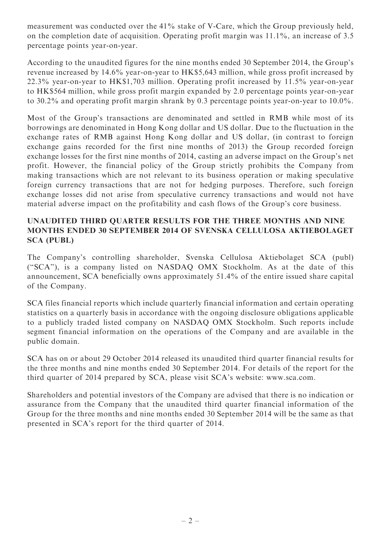measurement was conducted over the 41% stake of V-Care, which the Group previously held, on the completion date of acquisition. Operating profit margin was 11.1%, an increase of 3.5 percentage points year-on-year.

According to the unaudited figures for the nine months ended 30 September 2014, the Group's revenue increased by 14.6% year-on-year to HK\$5,643 million, while gross profit increased by 22.3% year-on-year to HK\$1,703 million. Operating profit increased by 11.5% year-on-year to HK\$564 million, while gross profit margin expanded by 2.0 percentage points year-on-year to 30.2% and operating profit margin shrank by 0.3 percentage points year-on-year to 10.0%.

Most of the Group's transactions are denominated and settled in RMB while most of its borrowings are denominated in Hong Kong dollar and US dollar. Due to the fluctuation in the exchange rates of RMB against Hong Kong dollar and US dollar, (in contrast to foreign exchange gains recorded for the first nine months of 2013) the Group recorded foreign exchange losses for the first nine months of 2014, casting an adverse impact on the Group's net profit. However, the financial policy of the Group strictly prohibits the Company from making transactions which are not relevant to its business operation or making speculative foreign currency transactions that are not for hedging purposes. Therefore, such foreign exchange losses did not arise from speculative currency transactions and would not have material adverse impact on the profitability and cash flows of the Group's core business.

### UNAUDITED THIRD QUARTER RESULTS FOR THE THREE MONTHS AND NINE MONTHS ENDED 30 SEPTEMBER 2014 OF SVENSKA CELLULOSA AKTIEBOLAGET SCA (PUBL)

The Company's controlling shareholder, Svenska Cellulosa Aktiebolaget SCA (publ) (''SCA''), is a company listed on NASDAQ OMX Stockholm. As at the date of this announcement, SCA beneficially owns approximately 51.4% of the entire issued share capital of the Company.

SCA files financial reports which include quarterly financial information and certain operating statistics on a quarterly basis in accordance with the ongoing disclosure obligations applicable to a publicly traded listed company on NASDAQ OMX Stockholm. Such reports include segment financial information on the operations of the Company and are available in the public domain.

SCA has on or about 29 October 2014 released its unaudited third quarter financial results for the three months and nine months ended 30 September 2014. For details of the report for the third quarter of 2014 prepared by SCA, please visit SCA's website: www.sca.com.

Shareholders and potential investors of the Company are advised that there is no indication or assurance from the Company that the unaudited third quarter financial information of the Group for the three months and nine months ended 30 September 2014 will be the same as that presented in SCA's report for the third quarter of 2014.